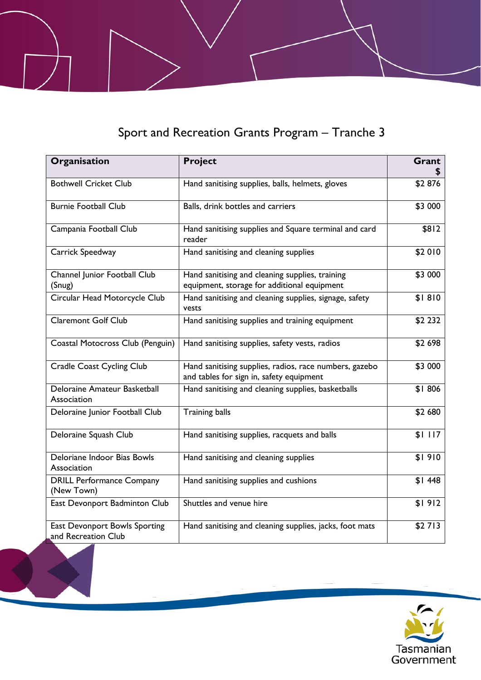## Sport and Recreation Grants Program – Tranche 3

| Organisation                                         | <b>Project</b>                                                                                     | Grant   |
|------------------------------------------------------|----------------------------------------------------------------------------------------------------|---------|
| <b>Bothwell Cricket Club</b>                         | Hand sanitising supplies, balls, helmets, gloves                                                   | \$2876  |
| <b>Burnie Football Club</b>                          | Balls, drink bottles and carriers                                                                  | \$3 000 |
| Campania Football Club                               | Hand sanitising supplies and Square terminal and card<br>reader                                    | \$812   |
| Carrick Speedway                                     | Hand sanitising and cleaning supplies                                                              | \$2 010 |
| Channel Junior Football Club<br>(Snug)               | Hand sanitising and cleaning supplies, training<br>equipment, storage for additional equipment     | \$3 000 |
| Circular Head Motorcycle Club                        | Hand sanitising and cleaning supplies, signage, safety<br>vests                                    | \$1810  |
| <b>Claremont Golf Club</b>                           | Hand sanitising supplies and training equipment                                                    | \$2 232 |
| Coastal Motocross Club (Penguin)                     | Hand sanitising supplies, safety vests, radios                                                     | \$2 698 |
| <b>Cradle Coast Cycling Club</b>                     | Hand sanitising supplies, radios, race numbers, gazebo<br>and tables for sign in, safety equipment | \$3 000 |
| Deloraine Amateur Basketball<br>Association          | Hand sanitising and cleaning supplies, basketballs                                                 | \$1806  |
| Deloraine Junior Football Club                       | <b>Training balls</b>                                                                              | \$2 680 |
| Deloraine Squash Club                                | Hand sanitising supplies, racquets and balls                                                       | \$1117  |
| Deloriane Indoor Bias Bowls<br>Association           | Hand sanitising and cleaning supplies                                                              | \$1910  |
| <b>DRILL Performance Company</b><br>(New Town)       | Hand sanitising supplies and cushions                                                              | \$1448  |
| East Devonport Badminton Club                        | Shuttles and venue hire                                                                            | \$1912  |
| East Devonport Bowls Sporting<br>and Recreation Club | Hand sanitising and cleaning supplies, jacks, foot mats                                            | \$2713  |

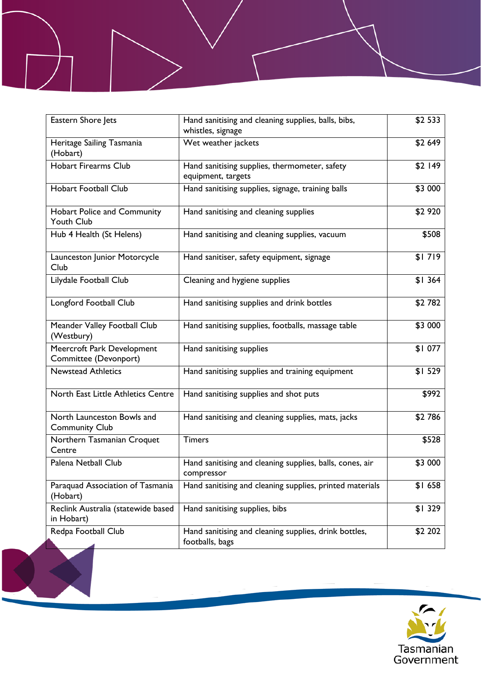| Eastern Shore Jets                                  | Hand sanitising and cleaning supplies, balls, bibs,<br>whistles, signage | $\overline{$}2533$ |
|-----------------------------------------------------|--------------------------------------------------------------------------|--------------------|
| Heritage Sailing Tasmania<br>(Hobart)               | Wet weather jackets                                                      | \$2 649            |
| Hobart Firearms Club                                | Hand sanitising supplies, thermometer, safety<br>equipment, targets      | \$2 149            |
| Hobart Football Club                                | Hand sanitising supplies, signage, training balls                        | \$3 000            |
| Hobart Police and Community<br><b>Youth Club</b>    | Hand sanitising and cleaning supplies                                    | \$2 920            |
| Hub 4 Health (St Helens)                            | Hand sanitising and cleaning supplies, vacuum                            | \$508              |
| Launceston Junior Motorcycle<br>Club                | Hand sanitiser, safety equipment, signage                                | \$1719             |
| Lilydale Football Club                              | Cleaning and hygiene supplies                                            | \$1364             |
| Longford Football Club                              | Hand sanitising supplies and drink bottles                               | \$2782             |
| Meander Valley Football Club<br>(Westbury)          | Hand sanitising supplies, footballs, massage table                       | \$3 000            |
| Meercroft Park Development<br>Committee (Devonport) | Hand sanitising supplies                                                 | \$1077             |
| <b>Newstead Athletics</b>                           | Hand sanitising supplies and training equipment                          | \$1529             |
| North East Little Athletics Centre                  | Hand sanitising supplies and shot puts                                   | \$992              |
| North Launceston Bowls and<br><b>Community Club</b> | Hand sanitising and cleaning supplies, mats, jacks                       | \$2786             |
| Northern Tasmanian Croquet<br>Centre                | <b>Timers</b>                                                            | \$528              |
| Palena Netball Club                                 | Hand sanitising and cleaning supplies, balls, cones, air<br>compressor   | \$3 000            |
| Paraquad Association of Tasmania<br>(Hobart)        | Hand sanitising and cleaning supplies, printed materials                 | \$1658             |
| Reclink Australia (statewide based<br>in Hobart)    | Hand sanitising supplies, bibs                                           | \$1329             |
| Redpa Football Club                                 | Hand sanitising and cleaning supplies, drink bottles,<br>footballs, bags | \$2 202            |

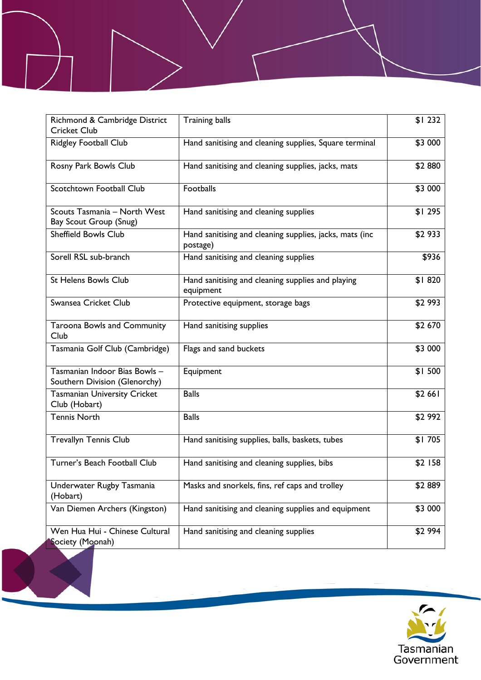| Richmond & Cambridge District<br><b>Cricket Club</b>           | <b>Training balls</b>                                               | \$1232  |
|----------------------------------------------------------------|---------------------------------------------------------------------|---------|
| Ridgley Football Club                                          | Hand sanitising and cleaning supplies, Square terminal              | \$3 000 |
| Rosny Park Bowls Club                                          | Hand sanitising and cleaning supplies, jacks, mats                  | \$2880  |
| Scotchtown Football Club                                       | Footballs                                                           | \$3 000 |
| Scouts Tasmania - North West<br>Bay Scout Group (Snug)         | Hand sanitising and cleaning supplies                               | \$1295  |
| <b>Sheffield Bowls Club</b>                                    | Hand sanitising and cleaning supplies, jacks, mats (inc<br>postage) | \$2 933 |
| Sorell RSL sub-branch                                          | Hand sanitising and cleaning supplies                               | \$936   |
| <b>St Helens Bowls Club</b>                                    | Hand sanitising and cleaning supplies and playing<br>equipment      | \$1820  |
| Swansea Cricket Club                                           | Protective equipment, storage bags                                  | \$2 993 |
| <b>Taroona Bowls and Community</b><br>Club                     | Hand sanitising supplies                                            | \$2 670 |
| Tasmania Golf Club (Cambridge)                                 | Flags and sand buckets                                              | \$3 000 |
| Tasmanian Indoor Bias Bowls -<br>Southern Division (Glenorchy) | Equipment                                                           | \$1500  |
| <b>Tasmanian University Cricket</b><br>Club (Hobart)           | <b>Balls</b>                                                        | \$2 661 |
| <b>Tennis North</b>                                            | <b>Balls</b>                                                        | \$2 992 |
| <b>Trevallyn Tennis Club</b>                                   | Hand sanitising supplies, balls, baskets, tubes                     | \$1705  |
| Turner's Beach Football Club                                   | Hand sanitising and cleaning supplies, bibs                         | \$2 158 |
| Underwater Rugby Tasmania<br>(Hobart)                          | Masks and snorkels, fins, ref caps and trolley                      | \$2889  |
| Van Diemen Archers (Kingston)                                  | Hand sanitising and cleaning supplies and equipment                 | \$3 000 |
| Wen Hua Hui - Chinese Cultural<br>Society (Moonah)             | Hand sanitising and cleaning supplies                               | \$2 994 |